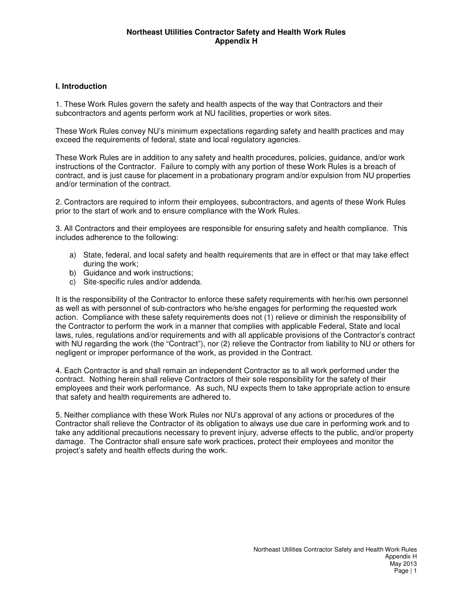## **I. Introduction**

1. These Work Rules govern the safety and health aspects of the way that Contractors and their subcontractors and agents perform work at NU facilities, properties or work sites.

These Work Rules convey NU's minimum expectations regarding safety and health practices and may exceed the requirements of federal, state and local regulatory agencies.

These Work Rules are in addition to any safety and health procedures, policies, guidance, and/or work instructions of the Contractor. Failure to comply with any portion of these Work Rules is a breach of contract, and is just cause for placement in a probationary program and/or expulsion from NU properties and/or termination of the contract.

2. Contractors are required to inform their employees, subcontractors, and agents of these Work Rules prior to the start of work and to ensure compliance with the Work Rules.

3. All Contractors and their employees are responsible for ensuring safety and health compliance. This includes adherence to the following:

- a) State, federal, and local safety and health requirements that are in effect or that may take effect during the work;
- b) Guidance and work instructions;
- c) Site-specific rules and/or addenda.

It is the responsibility of the Contractor to enforce these safety requirements with her/his own personnel as well as with personnel of sub-contractors who he/she engages for performing the requested work action. Compliance with these safety requirements does not (1) relieve or diminish the responsibility of the Contractor to perform the work in a manner that complies with applicable Federal, State and local laws, rules, regulations and/or requirements and with all applicable provisions of the Contractor's contract with NU regarding the work (the "Contract"), nor (2) relieve the Contractor from liability to NU or others for negligent or improper performance of the work, as provided in the Contract.

4. Each Contractor is and shall remain an independent Contractor as to all work performed under the contract. Nothing herein shall relieve Contractors of their sole responsibility for the safety of their employees and their work performance. As such, NU expects them to take appropriate action to ensure that safety and health requirements are adhered to.

5. Neither compliance with these Work Rules nor NU's approval of any actions or procedures of the Contractor shall relieve the Contractor of its obligation to always use due care in performing work and to take any additional precautions necessary to prevent injury, adverse effects to the public, and/or property damage. The Contractor shall ensure safe work practices, protect their employees and monitor the project's safety and health effects during the work.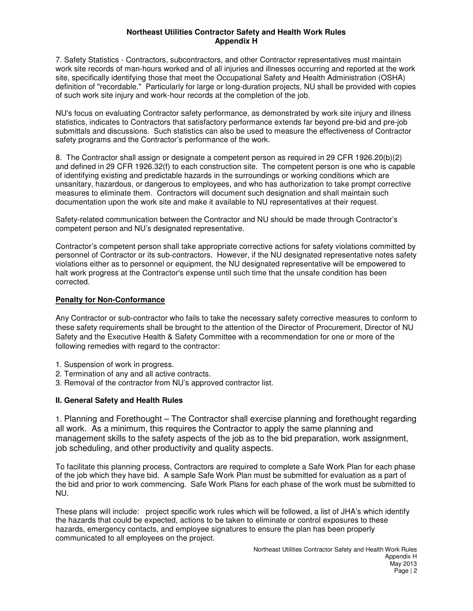7. Safety Statistics - Contractors, subcontractors, and other Contractor representatives must maintain work site records of man-hours worked and of all injuries and illnesses occurring and reported at the work site, specifically identifying those that meet the Occupational Safety and Health Administration (OSHA) definition of "recordable." Particularly for large or long-duration projects, NU shall be provided with copies of such work site injury and work-hour records at the completion of the job.

NU's focus on evaluating Contractor safety performance, as demonstrated by work site injury and illness statistics, indicates to Contractors that satisfactory performance extends far beyond pre-bid and pre-job submittals and discussions. Such statistics can also be used to measure the effectiveness of Contractor safety programs and the Contractor's performance of the work.

8. The Contractor shall assign or designate a competent person as required in 29 CFR 1926.20(b)(2) and defined in 29 CFR 1926.32(f) to each construction site. The competent person is one who is capable of identifying existing and predictable hazards in the surroundings or working conditions which are unsanitary, hazardous, or dangerous to employees, and who has authorization to take prompt corrective measures to eliminate them. Contractors will document such designation and shall maintain such documentation upon the work site and make it available to NU representatives at their request.

Safety-related communication between the Contractor and NU should be made through Contractor's competent person and NU's designated representative.

Contractor's competent person shall take appropriate corrective actions for safety violations committed by personnel of Contractor or its sub-contractors. However, if the NU designated representative notes safety violations either as to personnel or equipment, the NU designated representative will be empowered to halt work progress at the Contractor's expense until such time that the unsafe condition has been corrected.

# **Penalty for Non-Conformance**

Any Contractor or sub-contractor who fails to take the necessary safety corrective measures to conform to these safety requirements shall be brought to the attention of the Director of Procurement, Director of NU Safety and the Executive Health & Safety Committee with a recommendation for one or more of the following remedies with regard to the contractor:

- 1. Suspension of work in progress.
- 2. Termination of any and all active contracts.
- 3. Removal of the contractor from NU's approved contractor list.

# **II. General Safety and Health Rules**

1. Planning and Forethought – The Contractor shall exercise planning and forethought regarding all work. As a minimum, this requires the Contractor to apply the same planning and management skills to the safety aspects of the job as to the bid preparation, work assignment, job scheduling, and other productivity and quality aspects.

To facilitate this planning process, Contractors are required to complete a Safe Work Plan for each phase of the job which they have bid. A sample Safe Work Plan must be submitted for evaluation as a part of the bid and prior to work commencing. Safe Work Plans for each phase of the work must be submitted to NU.

These plans will include: project specific work rules which will be followed, a list of JHA's which identify the hazards that could be expected, actions to be taken to eliminate or control exposures to these hazards, emergency contacts, and employee signatures to ensure the plan has been properly communicated to all employees on the project.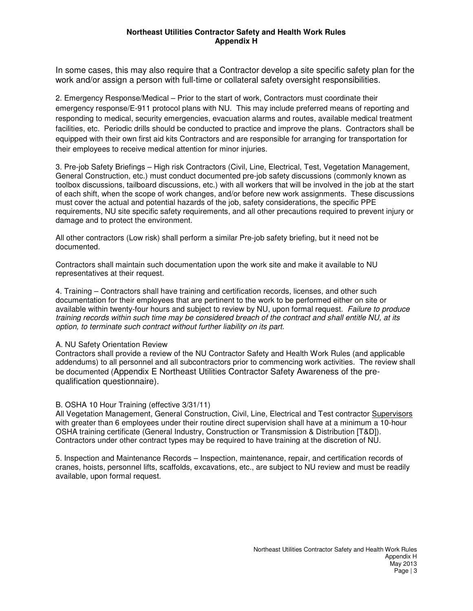In some cases, this may also require that a Contractor develop a site specific safety plan for the work and/or assign a person with full-time or collateral safety oversight responsibilities.

2. Emergency Response/Medical – Prior to the start of work, Contractors must coordinate their emergency response/E-911 protocol plans with NU. This may include preferred means of reporting and responding to medical, security emergencies, evacuation alarms and routes, available medical treatment facilities, etc. Periodic drills should be conducted to practice and improve the plans. Contractors shall be equipped with their own first aid kits Contractors and are responsible for arranging for transportation for their employees to receive medical attention for minor injuries.

3. Pre-job Safety Briefings – High risk Contractors (Civil, Line, Electrical, Test, Vegetation Management, General Construction, etc.) must conduct documented pre-job safety discussions (commonly known as toolbox discussions, tailboard discussions, etc.) with all workers that will be involved in the job at the start of each shift, when the scope of work changes, and/or before new work assignments. These discussions must cover the actual and potential hazards of the job, safety considerations, the specific PPE requirements, NU site specific safety requirements, and all other precautions required to prevent injury or damage and to protect the environment.

All other contractors (Low risk) shall perform a similar Pre-job safety briefing, but it need not be documented.

Contractors shall maintain such documentation upon the work site and make it available to NU representatives at their request.

4. Training – Contractors shall have training and certification records, licenses, and other such documentation for their employees that are pertinent to the work to be performed either on site or available within twenty-four hours and subject to review by NU, upon formal request. *Failure to produce* training records within such time may be considered breach of the contract and shall entitle NU, at its *option, to terminate such contract without further liability on its part.*

#### A. NU Safety Orientation Review

Contractors shall provide a review of the NU Contractor Safety and Health Work Rules (and applicable addendums) to all personnel and all subcontractors prior to commencing work activities. The review shall be documented (Appendix E Northeast Utilities Contractor Safety Awareness of the prequalification questionnaire).

#### B. OSHA 10 Hour Training (effective 3/31/11)

All Vegetation Management, General Construction, Civil, Line, Electrical and Test contractor Supervisors with greater than 6 employees under their routine direct supervision shall have at a minimum a 10-hour OSHA training certificate (General Industry, Construction or Transmission & Distribution [T&D]). Contractors under other contract types may be required to have training at the discretion of NU.

5. Inspection and Maintenance Records – Inspection, maintenance, repair, and certification records of cranes, hoists, personnel lifts, scaffolds, excavations, etc., are subject to NU review and must be readily available, upon formal request.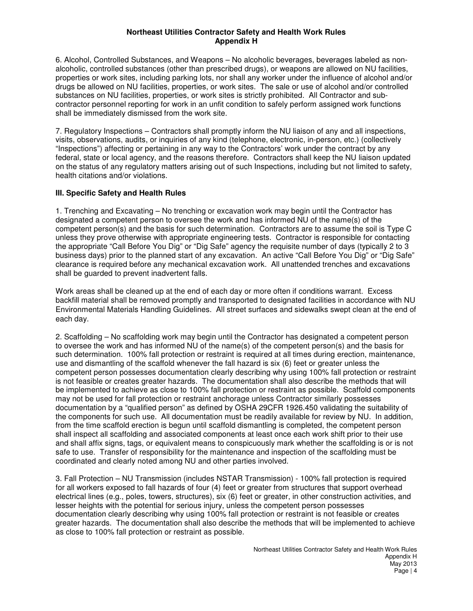6. Alcohol, Controlled Substances, and Weapons – No alcoholic beverages, beverages labeled as nonalcoholic, controlled substances (other than prescribed drugs), or weapons are allowed on NU facilities, properties or work sites, including parking lots, nor shall any worker under the influence of alcohol and/or drugs be allowed on NU facilities, properties, or work sites. The sale or use of alcohol and/or controlled substances on NU facilities, properties, or work sites is strictly prohibited. All Contractor and subcontractor personnel reporting for work in an unfit condition to safely perform assigned work functions shall be immediately dismissed from the work site.

7. Regulatory Inspections – Contractors shall promptly inform the NU liaison of any and all inspections, visits, observations, audits, or inquiries of any kind (telephone, electronic, in-person, etc.) (collectively "Inspections") affecting or pertaining in any way to the Contractors' work under the contract by any federal, state or local agency, and the reasons therefore. Contractors shall keep the NU liaison updated on the status of any regulatory matters arising out of such Inspections, including but not limited to safety, health citations and/or violations.

# **III. Specific Safety and Health Rules**

1. Trenching and Excavating – No trenching or excavation work may begin until the Contractor has designated a competent person to oversee the work and has informed NU of the name(s) of the competent person(s) and the basis for such determination. Contractors are to assume the soil is Type C unless they prove otherwise with appropriate engineering tests. Contractor is responsible for contacting the appropriate "Call Before You Dig" or "Dig Safe" agency the requisite number of days (typically 2 to 3 business days) prior to the planned start of any excavation. An active "Call Before You Dig" or "Dig Safe" clearance is required before any mechanical excavation work. All unattended trenches and excavations shall be guarded to prevent inadvertent falls.

Work areas shall be cleaned up at the end of each day or more often if conditions warrant. Excess backfill material shall be removed promptly and transported to designated facilities in accordance with NU Environmental Materials Handling Guidelines. All street surfaces and sidewalks swept clean at the end of each day.

2. Scaffolding – No scaffolding work may begin until the Contractor has designated a competent person to oversee the work and has informed NU of the name(s) of the competent person(s) and the basis for such determination. 100% fall protection or restraint is required at all times during erection, maintenance, use and dismantling of the scaffold whenever the fall hazard is six (6) feet or greater unless the competent person possesses documentation clearly describing why using 100% fall protection or restraint is not feasible or creates greater hazards. The documentation shall also describe the methods that will be implemented to achieve as close to 100% fall protection or restraint as possible. Scaffold components may not be used for fall protection or restraint anchorage unless Contractor similarly possesses documentation by a "qualified person" as defined by OSHA 29CFR 1926.450 validating the suitability of the components for such use. All documentation must be readily available for review by NU. In addition, from the time scaffold erection is begun until scaffold dismantling is completed, the competent person shall inspect all scaffolding and associated components at least once each work shift prior to their use and shall affix signs, tags, or equivalent means to conspicuously mark whether the scaffolding is or is not safe to use. Transfer of responsibility for the maintenance and inspection of the scaffolding must be coordinated and clearly noted among NU and other parties involved.

3. Fall Protection – NU Transmission (includes NSTAR Transmission) - 100% fall protection is required for all workers exposed to fall hazards of four (4) feet or greater from structures that support overhead electrical lines (e.g., poles, towers, structures), six (6) feet or greater, in other construction activities, and lesser heights with the potential for serious injury, unless the competent person possesses documentation clearly describing why using 100% fall protection or restraint is not feasible or creates greater hazards. The documentation shall also describe the methods that will be implemented to achieve as close to 100% fall protection or restraint as possible.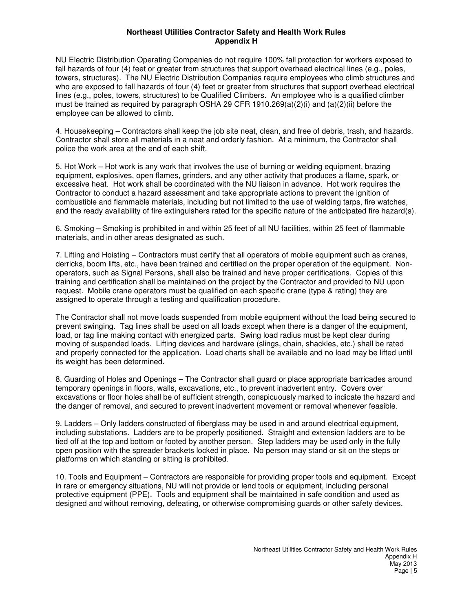NU Electric Distribution Operating Companies do not require 100% fall protection for workers exposed to fall hazards of four (4) feet or greater from structures that support overhead electrical lines (e.g., poles, towers, structures). The NU Electric Distribution Companies require employees who climb structures and who are exposed to fall hazards of four (4) feet or greater from structures that support overhead electrical lines (e.g., poles, towers, structures) to be Qualified Climbers. An employee who is a qualified climber must be trained as required by paragraph OSHA 29 CFR 1910.269(a)(2)(i) and (a)(2)(ii) before the employee can be allowed to climb.

4. Housekeeping – Contractors shall keep the job site neat, clean, and free of debris, trash, and hazards. Contractor shall store all materials in a neat and orderly fashion. At a minimum, the Contractor shall police the work area at the end of each shift.

5. Hot Work – Hot work is any work that involves the use of burning or welding equipment, brazing equipment, explosives, open flames, grinders, and any other activity that produces a flame, spark, or excessive heat. Hot work shall be coordinated with the NU liaison in advance. Hot work requires the Contractor to conduct a hazard assessment and take appropriate actions to prevent the ignition of combustible and flammable materials, including but not limited to the use of welding tarps, fire watches, and the ready availability of fire extinguishers rated for the specific nature of the anticipated fire hazard(s).

6. Smoking – Smoking is prohibited in and within 25 feet of all NU facilities, within 25 feet of flammable materials, and in other areas designated as such.

7. Lifting and Hoisting – Contractors must certify that all operators of mobile equipment such as cranes, derricks, boom lifts, etc., have been trained and certified on the proper operation of the equipment. Nonoperators, such as Signal Persons, shall also be trained and have proper certifications. Copies of this training and certification shall be maintained on the project by the Contractor and provided to NU upon request. Mobile crane operators must be qualified on each specific crane (type & rating) they are assigned to operate through a testing and qualification procedure.

The Contractor shall not move loads suspended from mobile equipment without the load being secured to prevent swinging. Tag lines shall be used on all loads except when there is a danger of the equipment, load, or tag line making contact with energized parts. Swing load radius must be kept clear during moving of suspended loads. Lifting devices and hardware (slings, chain, shackles, etc.) shall be rated and properly connected for the application. Load charts shall be available and no load may be lifted until its weight has been determined.

8. Guarding of Holes and Openings – The Contractor shall guard or place appropriate barricades around temporary openings in floors, walls, excavations, etc., to prevent inadvertent entry. Covers over excavations or floor holes shall be of sufficient strength, conspicuously marked to indicate the hazard and the danger of removal, and secured to prevent inadvertent movement or removal whenever feasible.

9. Ladders – Only ladders constructed of fiberglass may be used in and around electrical equipment, including substations. Ladders are to be properly positioned. Straight and extension ladders are to be tied off at the top and bottom or footed by another person. Step ladders may be used only in the fully open position with the spreader brackets locked in place. No person may stand or sit on the steps or platforms on which standing or sitting is prohibited.

10. Tools and Equipment – Contractors are responsible for providing proper tools and equipment. Except in rare or emergency situations, NU will not provide or lend tools or equipment, including personal protective equipment (PPE). Tools and equipment shall be maintained in safe condition and used as designed and without removing, defeating, or otherwise compromising guards or other safety devices.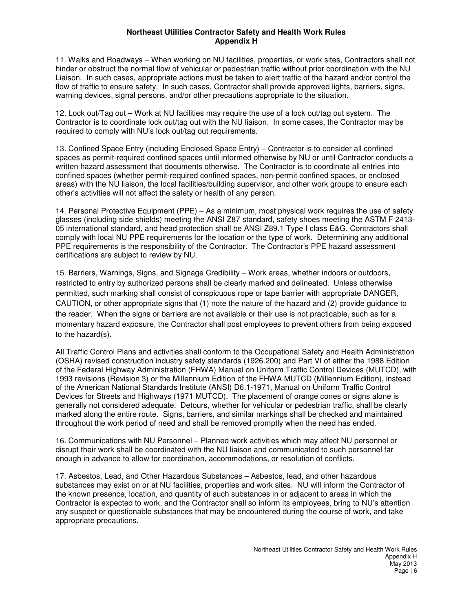11. Walks and Roadways – When working on NU facilities, properties, or work sites, Contractors shall not hinder or obstruct the normal flow of vehicular or pedestrian traffic without prior coordination with the NU Liaison. In such cases, appropriate actions must be taken to alert traffic of the hazard and/or control the flow of traffic to ensure safety. In such cases, Contractor shall provide approved lights, barriers, signs, warning devices, signal persons, and/or other precautions appropriate to the situation.

12. Lock out/Tag out – Work at NU facilities may require the use of a lock out/tag out system. The Contractor is to coordinate lock out/tag out with the NU liaison. In some cases, the Contractor may be required to comply with NU's lock out/tag out requirements.

13. Confined Space Entry (including Enclosed Space Entry) – Contractor is to consider all confined spaces as permit-required confined spaces until informed otherwise by NU or until Contractor conducts a written hazard assessment that documents otherwise. The Contractor is to coordinate all entries into confined spaces (whether permit-required confined spaces, non-permit confined spaces, or enclosed areas) with the NU liaison, the local facilities/building supervisor, and other work groups to ensure each other's activities will not affect the safety or health of any person.

14. Personal Protective Equipment (PPE) – As a minimum, most physical work requires the use of safety glasses (including side shields) meeting the ANSI Z87 standard, safety shoes meeting the ASTM F 2413- 05 international standard, and head protection shall be ANSI Z89.1 Type I class E&G. Contractors shall comply with local NU PPE requirements for the location or the type of work. Determining any additional PPE requirements is the responsibility of the Contractor. The Contractor's PPE hazard assessment certifications are subject to review by NU.

15. Barriers, Warnings, Signs, and Signage Credibility – Work areas, whether indoors or outdoors, restricted to entry by authorized persons shall be clearly marked and delineated. Unless otherwise permitted, such marking shall consist of conspicuous rope or tape barrier with appropriate DANGER, CAUTION, or other appropriate signs that (1) note the nature of the hazard and (2) provide guidance to the reader. When the signs or barriers are not available or their use is not practicable, such as for a momentary hazard exposure, the Contractor shall post employees to prevent others from being exposed to the hazard(s).

All Traffic Control Plans and activities shall conform to the Occupational Safety and Health Administration (OSHA) revised construction industry safety standards (1926.200) and Part VI of either the 1988 Edition of the Federal Highway Administration (FHWA) Manual on Uniform Traffic Control Devices (MUTCD), with 1993 revisions (Revision 3) or the Millennium Edition of the FHWA MUTCD (Millennium Edition), instead of the American National Standards Institute (ANSI) D6.1-1971, Manual on Uniform Traffic Control Devices for Streets and Highways (1971 MUTCD). The placement of orange cones or signs alone is generally not considered adequate. Detours, whether for vehicular or pedestrian traffic, shall be clearly marked along the entire route. Signs, barriers, and similar markings shall be checked and maintained throughout the work period of need and shall be removed promptly when the need has ended.

16. Communications with NU Personnel – Planned work activities which may affect NU personnel or disrupt their work shall be coordinated with the NU liaison and communicated to such personnel far enough in advance to allow for coordination, accommodations, or resolution of conflicts.

17. Asbestos, Lead, and Other Hazardous Substances – Asbestos, lead, and other hazardous substances may exist on or at NU facilities, properties and work sites. NU will inform the Contractor of the known presence, location, and quantity of such substances in or adjacent to areas in which the Contractor is expected to work, and the Contractor shall so inform its employees, bring to NU's attention any suspect or questionable substances that may be encountered during the course of work, and take appropriate precautions.